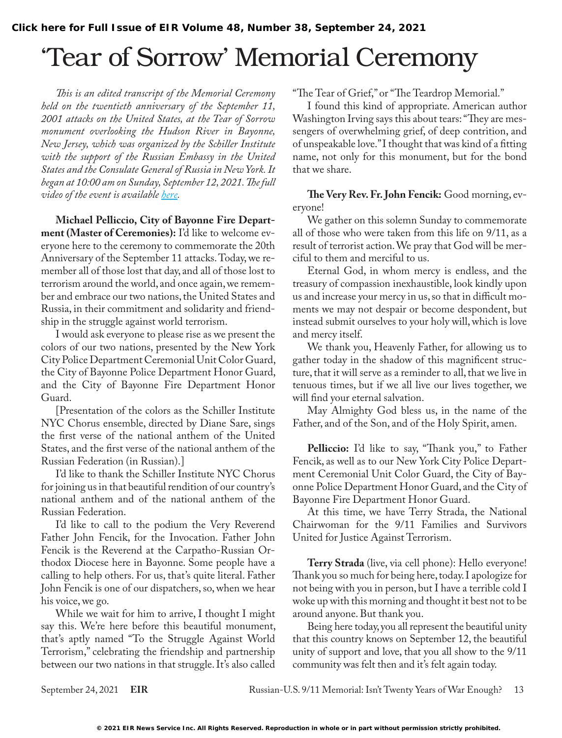## 'Tear of Sorrow' Memorial Ceremony

*This is an edited transcript of the Memorial Ceremony held on the twentieth anniversary of the September 11, 2001 attacks on the United States, at the Tear of Sorrow monument overlooking the Hudson River in Bayonne, New Jersey, which was organized by the Schiller Institute with the support of the Russian Embassy in the United States and the Consulate General of Russia in New York. It began at 10:00 am on Sunday, September 12, 2021. The full video of the event is available [here.](https://vimeo.com/604446255)*

**Michael Pelliccio, City of Bayonne Fire Department (Master of Ceremonies):** I'd like to welcome everyone here to the ceremony to commemorate the 20th Anniversary of the September 11 attacks. Today, we remember all of those lost that day, and all of those lost to terrorism around the world, and once again, we remember and embrace our two nations, the United States and Russia, in their commitment and solidarity and friendship in the struggle against world terrorism.

I would ask everyone to please rise as we present the colors of our two nations, presented by the New York City Police Department Ceremonial Unit Color Guard, the City of Bayonne Police Department Honor Guard, and the City of Bayonne Fire Department Honor Guard.

[Presentation of the colors as the Schiller Institute NYC Chorus ensemble, directed by Diane Sare, sings the first verse of the national anthem of the United States, and the first verse of the national anthem of the Russian Federation (in Russian).]

I'd like to thank the Schiller Institute NYC Chorus for joining us in that beautiful rendition of our country's national anthem and of the national anthem of the Russian Federation.

I'd like to call to the podium the Very Reverend Father John Fencik, for the Invocation. Father John Fencik is the Reverend at the Carpatho-Russian Orthodox Diocese here in Bayonne. Some people have a calling to help others. For us, that's quite literal. Father John Fencik is one of our dispatchers, so, when we hear his voice, we go.

While we wait for him to arrive, I thought I might say this. We're here before this beautiful monument, that's aptly named "To the Struggle Against World Terrorism," celebrating the friendship and partnership between our two nations in that struggle. It's also called

"The Tear of Grief," or "The Teardrop Memorial."

I found this kind of appropriate. American author Washington Irving says this about tears: "They are messengers of overwhelming grief, of deep contrition, and of unspeakable love." I thought that was kind of a fitting name, not only for this monument, but for the bond that we share.

**The Very Rev. Fr. John Fencik:** Good morning, everyone!

We gather on this solemn Sunday to commemorate all of those who were taken from this life on 9/11, as a result of terrorist action. We pray that God will be merciful to them and merciful to us.

Eternal God, in whom mercy is endless, and the treasury of compassion inexhaustible, look kindly upon us and increase your mercy in us, so that in difficult moments we may not despair or become despondent, but instead submit ourselves to your holy will, which is love and mercy itself.

We thank you, Heavenly Father, for allowing us to gather today in the shadow of this magnificent structure, that it will serve as a reminder to all, that we live in tenuous times, but if we all live our lives together, we will find your eternal salvation.

May Almighty God bless us, in the name of the Father, and of the Son, and of the Holy Spirit, amen.

**Pelliccio:** I'd like to say, "Thank you," to Father Fencik, as well as to our New York City Police Department Ceremonial Unit Color Guard, the City of Bayonne Police Department Honor Guard, and the City of Bayonne Fire Department Honor Guard.

At this time, we have Terry Strada, the National Chairwoman for the 9/11 Families and Survivors United for Justice Against Terrorism.

**Terry Strada** (live, via cell phone): Hello everyone! Thank you so much for being here, today. I apologize for not being with you in person, but I have a terrible cold I woke up with this morning and thought it best not to be around anyone. But thank you.

Being here today, you all represent the beautiful unity that this country knows on September 12, the beautiful unity of support and love, that you all show to the 9/11 community was felt then and it's felt again today.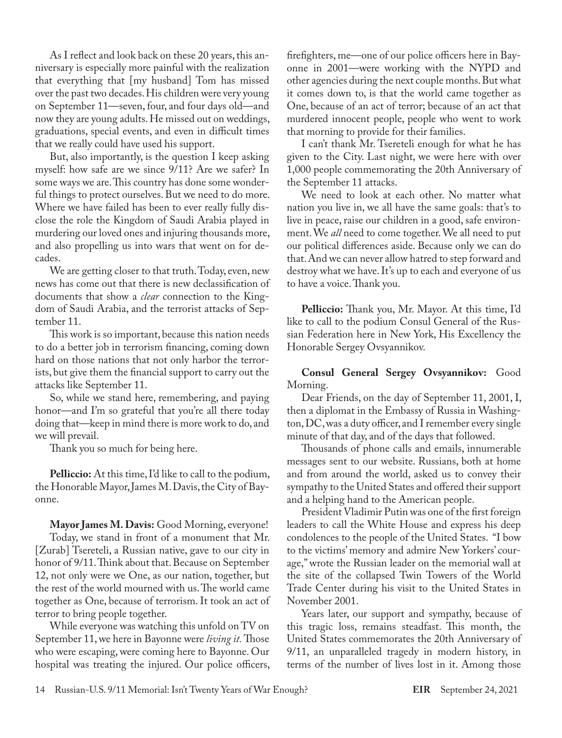As I reflect and look back on these 20 years, this anniversary is especially more painful with the realization that everything that [my husband] Tom has missed over the past two decades. His children were very young on September 11—seven, four, and four days old—and now they are young adults. He missed out on weddings, graduations, special events, and even in difficult times that we really could have used his support.

But, also importantly, is the question I keep asking myself: how safe are we since 9/11? Are we safer? In some ways we are. This country has done some wonderful things to protect ourselves. But we need to do more. Where we have failed has been to ever really fully disclose the role the Kingdom of Saudi Arabia played in murdering our loved ones and injuring thousands more, and also propelling us into wars that went on for decades.

We are getting closer to that truth. Today, even, new news has come out that there is new declassification of documents that show a *clear* connection to the Kingdom of Saudi Arabia, and the terrorist attacks of September 11.

This work is so important, because this nation needs to do a better job in terrorism financing, coming down hard on those nations that not only harbor the terrorists, but give them the financial support to carry out the attacks like September 11.

So, while we stand here, remembering, and paying honor—and I'm so grateful that you're all there today doing that—keep in mind there is more work to do, and we will prevail.

Thank you so much for being here.

**Pelliccio:** At this time, I'd like to call to the podium, the Honorable Mayor, James M. Davis, the City of Bayonne.

**Mayor James M. Davis:** Good Morning, everyone! Today, we stand in front of a monument that Mr. [Zurab] Tsereteli, a Russian native, gave to our city in honor of 9/11. Think about that. Because on September 12, not only were we One, as our nation, together, but the rest of the world mourned with us. The world came together as One, because of terrorism. It took an act of terror to bring people together.

While everyone was watching this unfold on TV on September 11, we here in Bayonne were *living it.* Those who were escaping, were coming here to Bayonne. Our hospital was treating the injured. Our police officers, firefighters, me—one of our police officers here in Bayonne in 2001—were working with the NYPD and other agencies during the next couple months. But what it comes down to, is that the world came together as One, because of an act of terror; because of an act that murdered innocent people, people who went to work that morning to provide for their families.

I can't thank Mr. Tsereteli enough for what he has given to the City. Last night, we were here with over 1,000 people commemorating the 20th Anniversary of the September 11 attacks.

We need to look at each other. No matter what nation you live in, we all have the same goals: that's to live in peace, raise our children in a good, safe environment. We *all* need to come together. We all need to put our political differences aside. Because only we can do that. And we can never allow hatred to step forward and destroy what we have. It's up to each and everyone of us to have a voice. Thank you.

**Pelliccio:** Thank you, Mr. Mayor. At this time, I'd like to call to the podium Consul General of the Russian Federation here in New York, His Excellency the Honorable Sergey Ovsyannikov.

**Consul General Sergey Ovsyannikov:** Good Morning.

Dear Friends, on the day of September 11, 2001, I, then a diplomat in the Embassy of Russia in Washington, DC, was a duty officer, and I remember every single minute of that day, and of the days that followed.

Thousands of phone calls and emails, innumerable messages sent to our website. Russians, both at home and from around the world, asked us to convey their sympathy to the United States and offered their support and a helping hand to the American people.

President Vladimir Putin was one of the first foreign leaders to call the White House and express his deep condolences to the people of the United States. "I bow to the victims' memory and admire New Yorkers' courage," wrote the Russian leader on the memorial wall at the site of the collapsed Twin Towers of the World Trade Center during his visit to the United States in November 2001.

Years later, our support and sympathy, because of this tragic loss, remains steadfast. This month, the United States commemorates the 20th Anniversary of 9/11, an unparalleled tragedy in modern history, in terms of the number of lives lost in it. Among those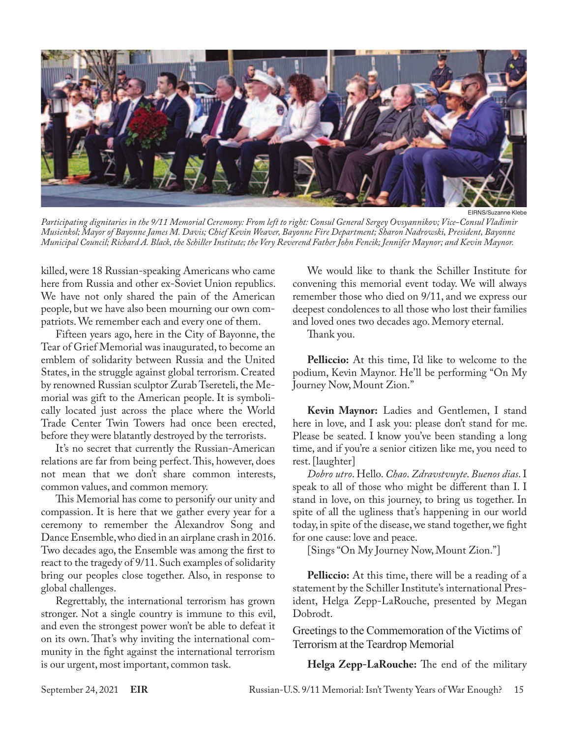

*Participating dignitaries in the 9/11 Memorial Ceremony: From left to right: Consul General Sergey Ovsyannikov; Vice-Consul Vladimir Musienkol; Mayor of Bayonne James M. Davis; Chief Kevin Weaver, Bayonne Fire Department; Sharon Nadrowski, President, Bayonne Municipal Council; Richard A. Black, the Schiller Institute; the Very Reverend Father John Fencik; Jennifer Maynor; and Kevin Maynor.*

killed, were 18 Russian-speaking Americans who came here from Russia and other ex-Soviet Union republics. We have not only shared the pain of the American people, but we have also been mourning our own compatriots. We remember each and every one of them.

Fifteen years ago, here in the City of Bayonne, the Tear of Grief Memorial was inaugurated, to become an emblem of solidarity between Russia and the United States, in the struggle against global terrorism. Created by renowned Russian sculptor Zurab Tsereteli, the Memorial was gift to the American people. It is symbolically located just across the place where the World Trade Center Twin Towers had once been erected, before they were blatantly destroyed by the terrorists.

It's no secret that currently the Russian-American relations are far from being perfect. This, however, does not mean that we don't share common interests, common values, and common memory.

This Memorial has come to personify our unity and compassion. It is here that we gather every year for a ceremony to remember the Alexandrov Song and Dance Ensemble, who died in an airplane crash in 2016. Two decades ago, the Ensemble was among the first to react to the tragedy of 9/11. Such examples of solidarity bring our peoples close together. Also, in response to global challenges.

Regrettably, the international terrorism has grown stronger. Not a single country is immune to this evil, and even the strongest power won't be able to defeat it on its own. That's why inviting the international community in the fight against the international terrorism is our urgent, most important, common task.

We would like to thank the Schiller Institute for convening this memorial event today. We will always remember those who died on 9/11, and we express our deepest condolences to all those who lost their families and loved ones two decades ago. Memory eternal.

Thank you.

**Pelliccio:** At this time, I'd like to welcome to the podium, Kevin Maynor. He'll be performing "On My Journey Now, Mount Zion."

**Kevin Maynor:** Ladies and Gentlemen, I stand here in love, and I ask you: please don't stand for me. Please be seated. I know you've been standing a long time, and if you're a senior citizen like me, you need to rest. [laughter]

*Dobro utro*. Hello. *Chao*. *Zdravstvuyte*. *Buenos dias*. I speak to all of those who might be different than I. I stand in love, on this journey, to bring us together. In spite of all the ugliness that's happening in our world today, in spite of the disease, we stand together, we fight for one cause: love and peace.

[Sings "On My Journey Now, Mount Zion."]

**Pelliccio:** At this time, there will be a reading of a statement by the Schiller Institute's international President, Helga Zepp-LaRouche, presented by Megan Dobrodt.

Greetings to the Commemoration of the Victims of Terrorism at the Teardrop Memorial

**Helga Zepp-LaRouche:** The end of the military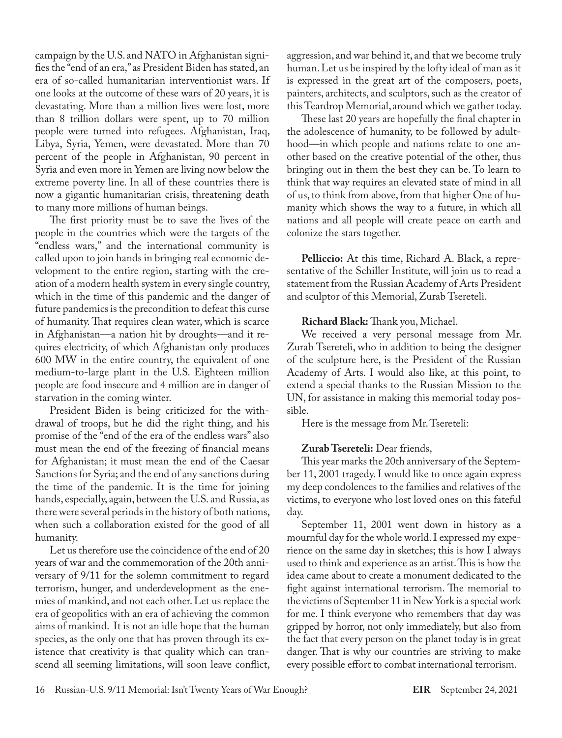campaign by the U.S. and NATO in Afghanistan signifies the "end of an era," as President Biden has stated, an era of so-called humanitarian interventionist wars. If one looks at the outcome of these wars of 20 years, it is devastating. More than a million lives were lost, more than 8 trillion dollars were spent, up to 70 million people were turned into refugees. Afghanistan, Iraq, Libya, Syria, Yemen, were devastated. More than 70 percent of the people in Afghanistan, 90 percent in Syria and even more in Yemen are living now below the extreme poverty line. In all of these countries there is now a gigantic humanitarian crisis, threatening death to many more millions of human beings.

The first priority must be to save the lives of the people in the countries which were the targets of the "endless wars," and the international community is called upon to join hands in bringing real economic development to the entire region, starting with the creation of a modern health system in every single country, which in the time of this pandemic and the danger of future pandemics is the precondition to defeat this curse of humanity. That requires clean water, which is scarce in Afghanistan—a nation hit by droughts—and it requires electricity, of which Afghanistan only produces 600 MW in the entire country, the equivalent of one medium-to-large plant in the U.S. Eighteen million people are food insecure and 4 million are in danger of starvation in the coming winter.

President Biden is being criticized for the withdrawal of troops, but he did the right thing, and his promise of the "end of the era of the endless wars" also must mean the end of the freezing of financial means for Afghanistan; it must mean the end of the Caesar Sanctions for Syria; and the end of any sanctions during the time of the pandemic. It is the time for joining hands, especially, again, between the U.S. and Russia, as there were several periods in the history of both nations, when such a collaboration existed for the good of all humanity.

Let us therefore use the coincidence of the end of 20 years of war and the commemoration of the 20th anniversary of 9/11 for the solemn commitment to regard terrorism, hunger, and underdevelopment as the enemies of mankind, and not each other. Let us replace the era of geopolitics with an era of achieving the common aims of mankind. It is not an idle hope that the human species, as the only one that has proven through its existence that creativity is that quality which can transcend all seeming limitations, will soon leave conflict, aggression, and war behind it, and that we become truly human. Let us be inspired by the lofty ideal of man as it is expressed in the great art of the composers, poets, painters, architects, and sculptors, such as the creator of this Teardrop Memorial, around which we gather today.

These last 20 years are hopefully the final chapter in the adolescence of humanity, to be followed by adulthood—in which people and nations relate to one another based on the creative potential of the other, thus bringing out in them the best they can be. To learn to think that way requires an elevated state of mind in all of us, to think from above, from that higher One of humanity which shows the way to a future, in which all nations and all people will create peace on earth and colonize the stars together.

**Pelliccio:** At this time, Richard A. Black, a representative of the Schiller Institute, will join us to read a statement from the Russian Academy of Arts President and sculptor of this Memorial, Zurab Tsereteli.

**Richard Black:** Thank you, Michael.

We received a very personal message from Mr. Zurab Tsereteli, who in addition to being the designer of the sculpture here, is the President of the Russian Academy of Arts. I would also like, at this point, to extend a special thanks to the Russian Mission to the UN, for assistance in making this memorial today possible.

Here is the message from Mr. Tsereteli:

## **Zurab Tsereteli:** Dear friends,

This year marks the 20th anniversary of the September 11, 2001 tragedy. I would like to once again express my deep condolences to the families and relatives of the victims, to everyone who lost loved ones on this fateful day.

September 11, 2001 went down in history as a mournful day for the whole world. I expressed my experience on the same day in sketches; this is how I always used to think and experience as an artist. This is how the idea came about to create a monument dedicated to the fight against international terrorism. The memorial to the victims of September 11 in New York is a special work for me. I think everyone who remembers that day was gripped by horror, not only immediately, but also from the fact that every person on the planet today is in great danger. That is why our countries are striving to make every possible effort to combat international terrorism.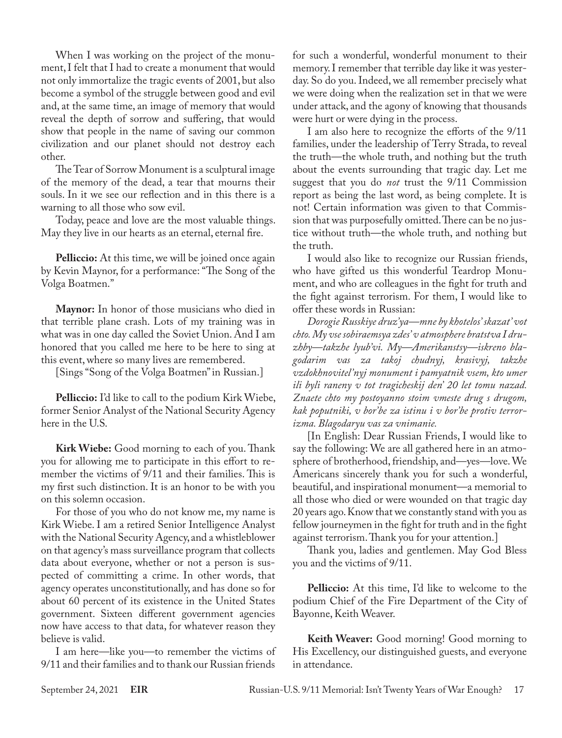When I was working on the project of the monument, I felt that I had to create a monument that would not only immortalize the tragic events of 2001, but also become a symbol of the struggle between good and evil and, at the same time, an image of memory that would reveal the depth of sorrow and suffering, that would show that people in the name of saving our common civilization and our planet should not destroy each other.

The Tear of Sorrow Monument is a sculptural image of the memory of the dead, a tear that mourns their souls. In it we see our reflection and in this there is a warning to all those who sow evil.

Today, peace and love are the most valuable things. May they live in our hearts as an eternal, eternal fire.

**Pelliccio:** At this time, we will be joined once again by Kevin Maynor, for a performance: "The Song of the Volga Boatmen."

**Maynor:** In honor of those musicians who died in that terrible plane crash. Lots of my training was in what was in one day called the Soviet Union. And I am honored that you called me here to be here to sing at this event, where so many lives are remembered.

[Sings "Song of the Volga Boatmen" in Russian.]

**Pelliccio:** I'd like to call to the podium Kirk Wiebe, former Senior Analyst of the National Security Agency here in the U.S.

**Kirk Wiebe:** Good morning to each of you. Thank you for allowing me to participate in this effort to remember the victims of 9/11 and their families. This is my first such distinction. It is an honor to be with you on this solemn occasion.

For those of you who do not know me, my name is Kirk Wiebe. I am a retired Senior Intelligence Analyst with the National Security Agency, and a whistleblower on that agency's mass surveillance program that collects data about everyone, whether or not a person is suspected of committing a crime. In other words, that agency operates unconstitutionally, and has done so for about 60 percent of its existence in the United States government. Sixteen different government agencies now have access to that data, for whatever reason they believe is valid.

I am here—like you—to remember the victims of 9/11 and their families and to thank our Russian friends

for such a wonderful, wonderful monument to their memory. I remember that terrible day like it was yesterday. So do you. Indeed, we all remember precisely what we were doing when the realization set in that we were under attack, and the agony of knowing that thousands were hurt or were dying in the process.

I am also here to recognize the efforts of the 9/11 families, under the leadership of Terry Strada, to reveal the truth—the whole truth, and nothing but the truth about the events surrounding that tragic day. Let me suggest that you do *not* trust the 9/11 Commission report as being the last word, as being complete. It is not! Certain information was given to that Commission that was purposefully omitted. There can be no justice without truth—the whole truth, and nothing but the truth.

I would also like to recognize our Russian friends, who have gifted us this wonderful Teardrop Monument, and who are colleagues in the fight for truth and the fight against terrorism. For them, I would like to offer these words in Russian:

*Dorogie Russkiye druz'ya—mne by khotelos' skazat' vot chto. My vse sobiraemsya zdes' v atmosphere bratstva I druzhby—takzhe lyub'vi. My—Amerikanstsy—iskreno blagodarim vas za takoj chudnyj, krasivyj, takzhe vzdokhnovitel'nyj monument i pamyatnik vsem, kto umer ili byli raneny v tot tragicheskij den' 20 let tomu nazad. Znaete chto my postoyanno stoim vmeste drug s drugom, kak poputniki, v bor'be za istinu i v bor'be protiv terrorizma. Blagodaryu vas za vnimanie.*

[In English: Dear Russian Friends, I would like to say the following: We are all gathered here in an atmosphere of brotherhood, friendship, and—yes—love. We Americans sincerely thank you for such a wonderful, beautiful, and inspirational monument—a memorial to all those who died or were wounded on that tragic day 20 years ago. Know that we constantly stand with you as fellow journeymen in the fight for truth and in the fight against terrorism. Thank you for your attention.]

Thank you, ladies and gentlemen. May God Bless you and the victims of 9/11.

**Pelliccio:** At this time, I'd like to welcome to the podium Chief of the Fire Department of the City of Bayonne, Keith Weaver.

**Keith Weaver:** Good morning! Good morning to His Excellency, our distinguished guests, and everyone in attendance.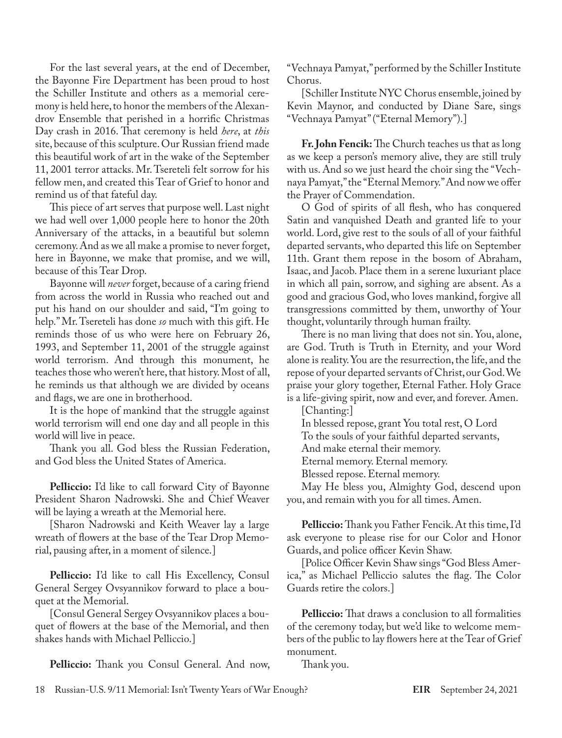For the last several years, at the end of December, the Bayonne Fire Department has been proud to host the Schiller Institute and others as a memorial ceremony is held here, to honor the members of the Alexandrov Ensemble that perished in a horrific Christmas Day crash in 2016. That ceremony is held *here*, at *this* site, because of this sculpture. Our Russian friend made this beautiful work of art in the wake of the September 11, 2001 terror attacks. Mr. Tsereteli felt sorrow for his fellow men, and created this Tear of Grief to honor and remind us of that fateful day.

This piece of art serves that purpose well. Last night we had well over 1,000 people here to honor the 20th Anniversary of the attacks, in a beautiful but solemn ceremony. And as we all make a promise to never forget, here in Bayonne, we make that promise, and we will, because of this Tear Drop.

Bayonne will *never* forget, because of a caring friend from across the world in Russia who reached out and put his hand on our shoulder and said, "I'm going to help." Mr. Tsereteli has done *so* much with this gift. He reminds those of us who were here on February 26, 1993, and September 11, 2001 of the struggle against world terrorism. And through this monument, he teaches those who weren't here, that history. Most of all, he reminds us that although we are divided by oceans and flags, we are one in brotherhood.

It is the hope of mankind that the struggle against world terrorism will end one day and all people in this world will live in peace.

Thank you all. God bless the Russian Federation, and God bless the United States of America.

**Pelliccio:** I'd like to call forward City of Bayonne President Sharon Nadrowski. She and Chief Weaver will be laying a wreath at the Memorial here.

[Sharon Nadrowski and Keith Weaver lay a large wreath of flowers at the base of the Tear Drop Memorial, pausing after, in a moment of silence.]

**Pelliccio:** I'd like to call His Excellency, Consul General Sergey Ovsyannikov forward to place a bouquet at the Memorial.

[Consul General Sergey Ovsyannikov places a bouquet of flowers at the base of the Memorial, and then shakes hands with Michael Pelliccio.]

**Pelliccio:** Thank you Consul General. And now,

"Vechnaya Pamyat," performed by the Schiller Institute Chorus.

[Schiller Institute NYC Chorus ensemble, joined by Kevin Maynor, and conducted by Diane Sare, sings "Vechnaya Pamyat" ("Eternal Memory").]

**Fr. John Fencik:** The Church teaches us that as long as we keep a person's memory alive, they are still truly with us. And so we just heard the choir sing the "Vechnaya Pamyat," the "Eternal Memory." And now we offer the Prayer of Commendation.

O God of spirits of all flesh, who has conquered Satin and vanquished Death and granted life to your world. Lord, give rest to the souls of all of your faithful departed servants, who departed this life on September 11th. Grant them repose in the bosom of Abraham, Isaac, and Jacob. Place them in a serene luxuriant place in which all pain, sorrow, and sighing are absent. As a good and gracious God, who loves mankind, forgive all transgressions committed by them, unworthy of Your thought, voluntarily through human frailty.

There is no man living that does not sin. You, alone, are God. Truth is Truth in Eternity, and your Word alone is reality. You are the resurrection, the life, and the repose of your departed servants of Christ, our God. We praise your glory together, Eternal Father. Holy Grace is a life-giving spirit, now and ever, and forever. Amen.

[Chanting:]

In blessed repose, grant You total rest, O Lord

To the souls of your faithful departed servants,

And make eternal their memory.

Eternal memory. Eternal memory.

Blessed repose. Eternal memory.

May He bless you, Almighty God, descend upon you, and remain with you for all times. Amen.

**Pelliccio:** Thank you Father Fencik. At this time, I'd ask everyone to please rise for our Color and Honor Guards, and police officer Kevin Shaw.

[Police Officer Kevin Shaw sings "God Bless America," as Michael Pelliccio salutes the flag. The Color Guards retire the colors.]

**Pelliccio:** That draws a conclusion to all formalities of the ceremony today, but we'd like to welcome members of the public to lay flowers here at the Tear of Grief monument.

Thank you.